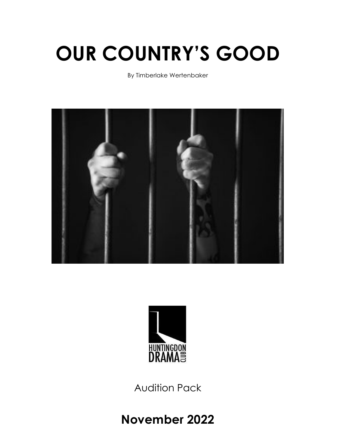# **OUR COUNTRY'S GOOD**

By Timberlake Wertenbaker





Audition Pack

# **November 2022**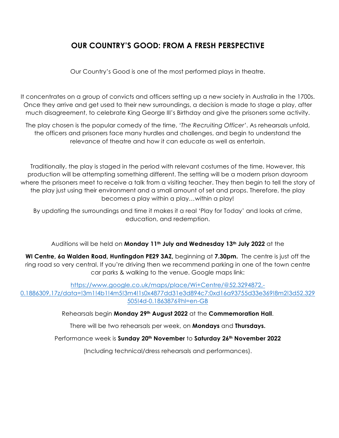### **OUR COUNTRY'S GOOD: FROM A FRESH PERSPECTIVE**

Our Country's Good is one of the most performed plays in theatre.

It concentrates on a group of convicts and officers setting up a new society in Australia in the 1700s. Once they arrive and get used to their new surroundings, a decision is made to stage a play, after much disagreement, to celebrate King George III's Birthday and give the prisoners some activity.

The play chosen is the popular comedy of the time, *'The Recruiting Officer'*. As rehearsals unfold, the officers and prisoners face many hurdles and challenges, and begin to understand the relevance of theatre and how it can educate as well as entertain.

Traditionally, the play is staged in the period with relevant costumes of the time. However, this production will be attempting something different. The setting will be a modern prison dayroom where the prisoners meet to receive a talk from a visiting teacher. They then begin to tell the story of the play just using their environment and a small amount of set and props. Therefore, the play becomes a play within a play…within a play!

By updating the surroundings and time it makes it a real 'Play for Today' and looks at crime, education, and redemption.

#### Auditions will be held on **Monday 11th July and Wednesday 13th July 2022** at the

**WI Centre, 6a Walden Road, Huntingdon PE29 3AZ,** beginning at **7.30pm.** The centre is just off the ring road so very central. If you're driving then we recommend parking in one of the town centre car parks & walking to the venue. Google maps link:

https://www.google.co.uk/maps/place/Wi+Centre/@52.3294872,-

0.1886309,17z/data=!3m1!4b1!4m5!3m4!1s0x4877dd31e3d894c7:0xd16a93755d33e369!8m2!3d52.329 505!4d-0.1863876?hl=en-GB

Rehearsals begin **Monday 29th August 2022** at the **Commemoration Hall**.

There will be two rehearsals per week, on **Mondays** and **Thursdays.** 

#### Performance week is **Sunday 20th November** to **Saturday 26th November 2022**

(Including technical/dress rehearsals and performances).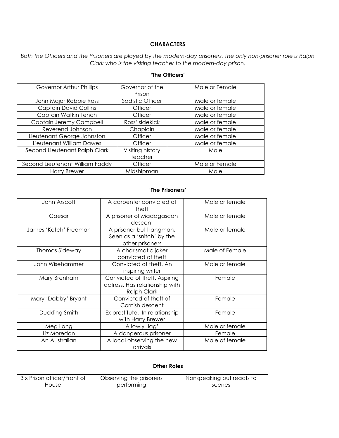#### **CHARACTERS**

*Both the Officers and the Prisoners are played by the modern-day prisoners. The only non-prisoner role is Ralph Clark who is the visiting teacher to the modern-day prison.*

#### **'The Officers'**

| Governor Arthur Phillips        | Governor of the<br>Prison | Male or Female |  |
|---------------------------------|---------------------------|----------------|--|
| John Major Robbie Ross          | Sadistic Officer          | Male or female |  |
| <b>Captain David Collins</b>    | Officer                   | Male or female |  |
| Captain Watkin Tench            | Officer                   | Male or female |  |
| Captain Jeremy Campbell         | Ross' sidekick            | Male or female |  |
| Reverend Johnson                | Chaplain                  | Male or female |  |
| Lieutenant George Johnston      | Officer                   | Male or female |  |
| Lieutenant William Dawes        | Officer                   | Male or female |  |
| Second Lieutenant Ralph Clark   | Visiting history          | Male           |  |
|                                 | teacher                   |                |  |
| Second Lieutenant William Faddy | Officer                   | Male or Female |  |
| <b>Harry Brewer</b>             | Midshipman                | Male           |  |

#### **'The Prisoners'**

| John Arscott          | A carpenter convicted of<br>theft                                                    | Male or female |
|-----------------------|--------------------------------------------------------------------------------------|----------------|
| Caesar                | A prisoner of Madagascan<br>descent                                                  | Male or female |
| James 'Ketch' Freeman | A prisoner but hangman.<br>Seen as a 'snitch' by the<br>other prisoners              | Male or female |
| <b>Thomas Sideway</b> | A charismatic joker<br>convicted of theft                                            | Male of Female |
| John Wisehammer       | Convicted of theft. An<br>inspiring writer                                           | Male or female |
| Mary Brenham          | Convicted of theft. Aspiring<br>actress. Has relationship with<br><b>Ralph Clark</b> | Female         |
| Mary 'Dabby' Bryant   | Convicted of theft of<br>Cornish descent                                             | Female         |
| Duckling Smith        | Ex prostitute. In relationship<br>with Harry Brewer                                  | Female         |
| Meg Long              | A lowly 'lag'                                                                        | Male or female |
| Liz Moredon           | A dangerous prisoner                                                                 | Female         |
| An Australian         | A local observing the new<br>arrivals                                                | Male of female |

#### **Other Roles**

| 3 x Prison officer/Front of | Observing the prisoners | Nonspeaking but reacts to |
|-----------------------------|-------------------------|---------------------------|
| House                       | performing              | scenes                    |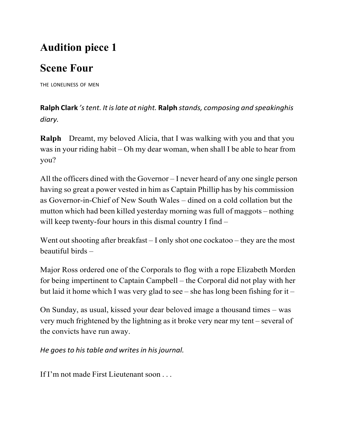# **Scene Four**

THE LONELINESS OF MEN

**Ralph Clark** *'stent. It islate at night.* **Ralph** *stands, composing and speakinghis diary.*

**Ralph** Dreamt, my beloved Alicia, that I was walking with you and that you was in your riding habit – Oh my dear woman, when shall I be able to hear from you?

All the officers dined with the Governor – I never heard of any one single person having so great a power vested in him as Captain Phillip has by his commission as Governor-in-Chief of New South Wales – dined on a cold collation but the mutton which had been killed yesterday morning was full of maggots – nothing will keep twenty-four hours in this dismal country I find –

Went out shooting after breakfast – I only shot one cockatoo – they are the most beautiful birds –

Major Ross ordered one of the Corporals to flog with a rope Elizabeth Morden for being impertinent to Captain Campbell – the Corporal did not play with her but laid it home which I was very glad to see – she has long been fishing for it –

On Sunday, as usual, kissed your dear beloved image a thousand times – was very much frightened by the lightning as it broke very near my tent – several of the convicts have run away.

*He goesto histable and writesin hisjournal.*

If I'm not made First Lieutenant soon . . .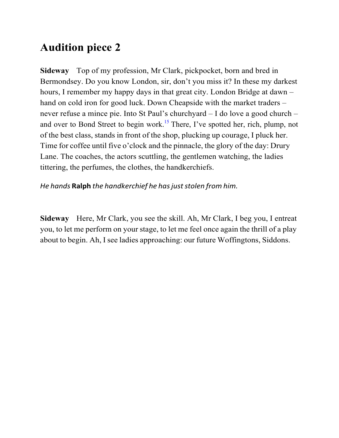**Sideway** Top of my profession, Mr Clark, pickpocket, born and bred in Bermondsey. Do you know London, sir, don't you miss it? In these my darkest hours, I remember my happy days in that great city. London Bridge at dawn – hand on cold iron for good luck. Down Cheapside with the market traders – never refuse a mince pie. Into St Paul's churchyard – I do love a good church – and over to Bond Street to begin work.<sup>15</sup> There, I've spotted her, rich, plump, not of the best class, stands in front of the shop, plucking up courage, I pluck her. Time for coffee until five o'clock and the pinnacle, the glory of the day: Drury Lane. The coaches, the actors scuttling, the gentlemen watching, the ladies tittering, the perfumes, the clothes, the handkerchiefs.

*He hands* **Ralph** *the handkerchief he hasjuststolen from him.*

**Sideway** Here, Mr Clark, you see the skill. Ah, Mr Clark, I beg you, I entreat you, to let me perform on your stage, to let me feel once again the thrill of a play about to begin. Ah, I see ladies approaching: our future Woffingtons, Siddons.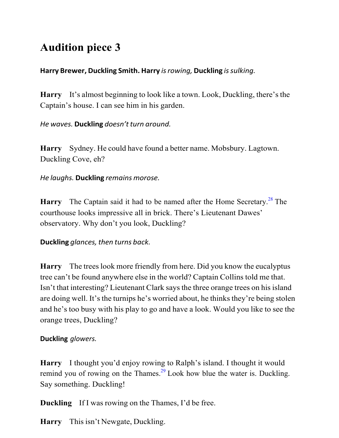### **Harry Brewer, Duckling Smith. Harry** *isrowing,* **Duckling** *issulking.*

**Harry** It's almost beginning to look like a town. Look, Duckling, there'sthe Captain's house. I can see him in his garden.

### *He waves.* **Duckling** *doesn't turn around.*

**Harry** Sydney. He could have found a better name. Mobsbury. Lagtown. Duckling Cove, eh?

#### *He laughs.* **Duckling** *remains morose.*

Harry The Captain said it had to be named after the Home Secretary.<sup>28</sup> The courthouse looks impressive all in brick. There's Lieutenant Dawes' observatory. Why don't you look, Duckling?

**Duckling** *glances, then turns back.*

**Harry** The trees look more friendly from here. Did you know the eucalyptus tree can't be found anywhere else in the world? Captain Collins told me that. Isn't that interesting? Lieutenant Clark says the three orange trees on his island are doing well. It's the turnips he's worried about, he thinks they're being stolen and he's too busy with his play to go and have a look. Would you like to see the orange trees, Duckling?

#### **Duckling** *glowers.*

**Harry** I thought you'd enjoy rowing to Ralph's island. I thought it would remind you of rowing on the Thames.<sup>29</sup> Look how blue the water is. Duckling. Say something. Duckling!

**Duckling** If I was rowing on the Thames, I'd be free.

**Harry** This isn't Newgate, Duckling.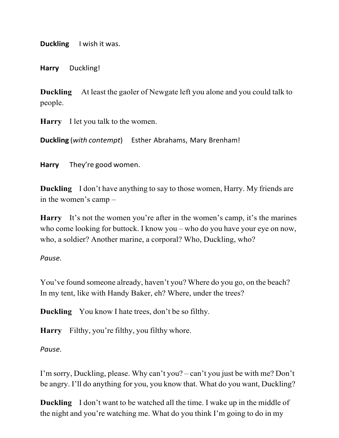**Duckling** I wish it was.

**Harry** Duckling!

**Duckling** At least the gaoler of Newgate left you alone and you could talk to people.

**Harry** I let you talk to the women.

**Duckling** (*with contempt*) Esther Abrahams, Mary Brenham!

**Harry** They're good women.

**Duckling** I don't have anything to say to those women, Harry. My friends are in the women's camp –

**Harry** It's not the women you're after in the women's camp, it's the marines who come looking for buttock. I know you – who do you have your eye on now, who, a soldier? Another marine, a corporal? Who, Duckling, who?

#### *Pause.*

You've found someone already, haven't you? Where do you go, on the beach? In my tent, like with Handy Baker, eh? Where, under the trees?

**Duckling** You know I hate trees, don't be so filthy.

**Harry** Filthy, you're filthy, you filthy whore.

*Pause.*

I'm sorry, Duckling, please. Why can't you? – can't you just be with me? Don't be angry. I'll do anything for you, you know that. What do you want, Duckling?

**Duckling** I don't want to be watched all the time. I wake up in the middle of the night and you're watching me. What do you think I'm going to do in my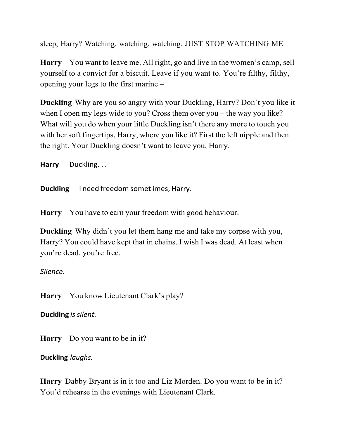sleep, Harry? Watching, watching, watching. JUST STOP WATCHING ME.

**Harry** You want to leave me. All right, go and live in the women's camp, sell yourself to a convict for a biscuit. Leave if you want to. You're filthy, filthy, opening your legs to the first marine –

**Duckling** Why are you so angry with your Duckling, Harry? Don't you like it when I open my legs wide to you? Cross them over you – the way you like? What will you do when your little Duckling isn't there any more to touch you with her soft fingertips, Harry, where you like it? First the left nipple and then the right. Your Duckling doesn't want to leave you, Harry.

**Harry** Duckling. . .

**Duckling** I need freedom somet imes, Harry.

**Harry** You have to earn your freedom with good behaviour.

**Duckling** Why didn't you let them hang me and take my corpse with you, Harry? You could have kept that in chains. I wish I was dead. At least when you're dead, you're free.

*Silence.*

**Harry** You know Lieutenant Clark's play?

**Duckling** *is silent.* 

**Harry** Do you want to be in it?

**Duckling** *laughs.*

**Harry** Dabby Bryant is in it too and Liz Morden. Do you want to be in it? You'd rehearse in the evenings with Lieutenant Clark.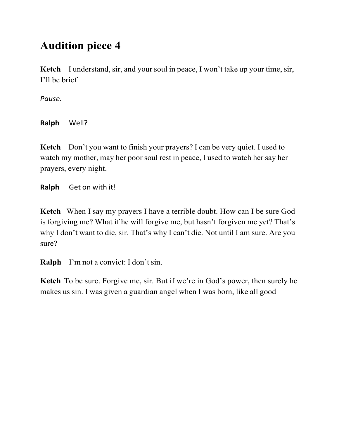**Ketch** I understand, sir, and your soul in peace, I won't take up your time, sir, I'll be brief.

*Pause.*

**Ralph** Well?

**Ketch** Don't you want to finish your prayers? I can be very quiet. I used to watch my mother, may her poor soul rest in peace, I used to watch her say her prayers, every night.

**Ralph** Get on with it!

**Ketch** When I say my prayers I have a terrible doubt. How can I be sure God is forgiving me? What if he will forgive me, but hasn't forgiven me yet? That's why I don't want to die, sir. That's why I can't die. Not until I am sure. Are you sure?

**Ralph** I'm not a convict: I don't sin.

**Ketch** To be sure. Forgive me, sir. But if we're in God's power, then surely he makes us sin. I was given a guardian angel when I was born, like all good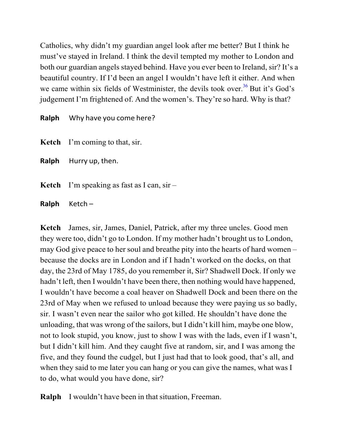Catholics, why didn't my guardian angel look after me better? But I think he must've stayed in Ireland. I think the devil tempted my mother to London and both our guardian angels stayed behind. Have you ever been to Ireland, sir? It's a beautiful country. If I'd been an angel I wouldn't have left it either. And when we came within six fields of Westminister, the devils took over.<sup>36</sup> But it's God's judgement I'm frightened of. And the women's. They're so hard. Why is that?

| <b>Ralph</b> Why have you come here?                 |
|------------------------------------------------------|
| <b>Ketch</b> I'm coming to that, sir.                |
| <b>Ralph</b> Hurry up, then.                         |
| <b>Ketch</b> I'm speaking as fast as I can, $\sin$ – |
| Ralph Ketch-                                         |

**Ketch** James, sir, James, Daniel, Patrick, after my three uncles. Good men they were too, didn't go to London. If my mother hadn't brought us to London, may God give peace to her soul and breathe pity into the hearts of hard women – because the docks are in London and if I hadn't worked on the docks, on that day, the 23rd of May 1785, do you remember it, Sir? Shadwell Dock. If only we hadn't left, then I wouldn't have been there, then nothing would have happened, I wouldn't have become a coal heaver on Shadwell Dock and been there on the 23rd of May when we refused to unload because they were paying us so badly, sir. I wasn't even near the sailor who got killed. He shouldn't have done the unloading, that was wrong of the sailors, but I didn't kill him, maybe one blow, not to look stupid, you know, just to show I was with the lads, even if I wasn't, but I didn't kill him. And they caught five at random, sir, and I was among the five, and they found the cudgel, but I just had that to look good, that's all, and when they said to me later you can hang or you can give the names, what was I to do, what would you have done, sir?

**Ralph** I wouldn't have been in that situation, Freeman.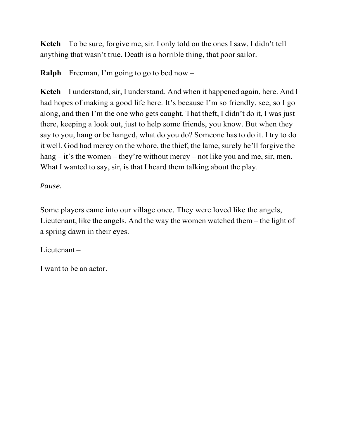**Ketch** To be sure, forgive me, sir. I only told on the ones I saw, I didn't tell anything that wasn't true. Death is a horrible thing, that poor sailor.

**Ralph** Freeman, I'm going to go to bed now –

**Ketch** I understand, sir, I understand. And when it happened again, here. And I had hopes of making a good life here. It's because I'm so friendly, see, so I go along, and then I'm the one who gets caught. That theft, I didn't do it, I was just there, keeping a look out, just to help some friends, you know. But when they say to you, hang or be hanged, what do you do? Someone has to do it. I try to do it well. God had mercy on the whore, the thief, the lame, surely he'll forgive the hang – it's the women – they're without mercy – not like you and me, sir, men. What I wanted to say, sir, is that I heard them talking about the play.

*Pause.*

Some players came into our village once. They were loved like the angels, Lieutenant, like the angels. And the way the women watched them – the light of a spring dawn in their eyes.

Lieutenant –

I want to be an actor.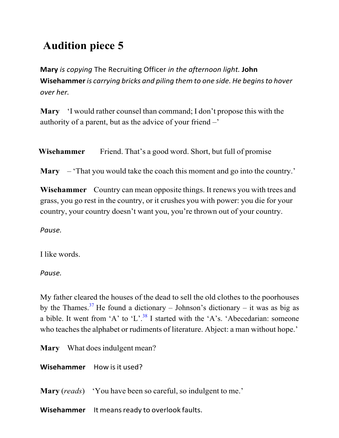**Mary** *is copying* The Recruiting Officer *in the afternoon light.* John **Wisehammer***is carrying bricks and piling them to one side. He beginsto hover over her.*

**Mary** 'I would rather counsel than command; I don't propose this with the authority of a parent, but as the advice of your friend –'

**Wisehammer** Friend. That's a good word. Short, but full of promise

**Mary** – 'That you would take the coach this moment and go into the country.'

**Wisehammer** Country can mean opposite things. It renews you with trees and grass, you go rest in the country, or it crushes you with power: you die for your country, your country doesn't want you, you're thrown out of your country.

*Pause.*

I like words.

*Pause.*

My father cleared the houses of the dead to sell the old clothes to the poorhouses by the Thames.<sup>37</sup> He found a dictionary – Johnson's dictionary – it was as big as a bible. It went from 'A' to 'L'.<sup>38</sup> I started with the 'A's. 'Abecedarian: someone who teaches the alphabet or rudiments of literature. Abject: a man without hope.'

**Mary** What doesindulgent mean?

**Wisehammer** How is it used?

**Mary** (*reads*) 'You have been so careful, so indulgent to me.'

**Wisehammer** It means ready to overlook faults.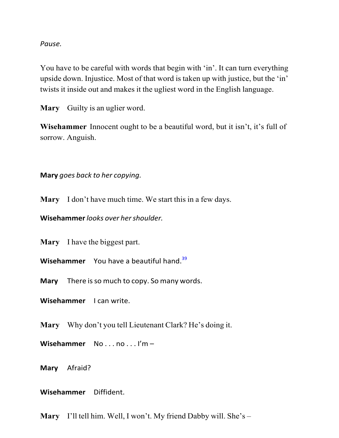*Pause.*

You have to be careful with words that begin with 'in'. It can turn everything upside down. Injustice. Most of that word is taken up with justice, but the 'in' twists it inside out and makes it the ugliest word in the English language.

**Mary** Guilty is an uglier word.

**Wisehammer** Innocent ought to be a beautiful word, but it isn't, it's full of sorrow. Anguish.

**Mary** *goes back to her copying.*

**Mary** I don't have much time. We start this in a few days.

**Wisehammer***looks over hershoulder.*

**Mary** I have the biggest part.

**Wisehammer** You have a beautiful hand.<sup>39</sup>

**Mary** There isso much to copy. So many words.

**Wisehammer** I can write.

**Mary** Why don't you tell Lieutenant Clark? He's doing it.

Wisehammer No . . . no . . . I'm -

**Mary** Afraid?

**Wisehammer** Diffident.

**Mary** I'll tell him. Well, I won't. My friend Dabby will. She's –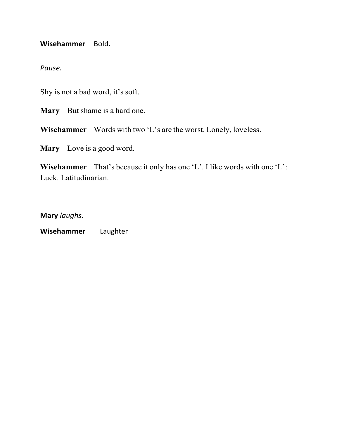**Wisehammer** Bold.

*Pause.*

Shy is not a bad word, it's soft.

**Mary** But shame is a hard one.

**Wisehammer** Words with two 'L's are the worst. Lonely, loveless.

**Mary** Love is a good word.

**Wisehammer** That's because it only has one 'L'. I like words with one 'L': Luck. Latitudinarian.

**Mary** *laughs.*

**Wisehammer** Laughter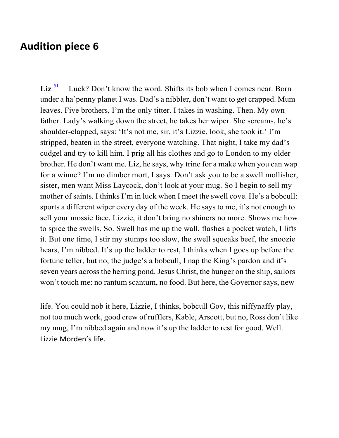Liz<sup>51</sup> Luck? Don't know the word. Shifts its bob when I comes near. Born under a ha'penny planet I was. Dad's a nibbler, don't want to get crapped. Mum leaves. Five brothers, I'm the only titter. I takes in washing. Then. My own father. Lady's walking down the street, he takes her wiper. She screams, he's shoulder-clapped, says: 'It's not me, sir, it's Lizzie, look, she took it.' I'm stripped, beaten in the street, everyone watching. That night, I take my dad's cudgel and try to kill him. I prig all his clothes and go to London to my older brother. He don't want me. Liz, he says, why trine for a make when you can wap for a winne? I'm no dimber mort, I says. Don't ask you to be a swell mollisher, sister, men want Miss Laycock, don't look at your mug. So I begin to sell my mother of saints. I thinks I'm in luck when I meet the swell cove. He's a bobcull: sports a different wiper every day of the week. He says to me, it's not enough to sell your mossie face, Lizzie, it don't bring no shiners no more. Shows me how to spice the swells. So. Swell has me up the wall, flashes a pocket watch, I lifts it. But one time, I stir my stumps too slow, the swell squeaks beef, the snoozie hears, I'm nibbed. It's up the ladder to rest, I thinks when I goes up before the fortune teller, but no, the judge's a bobcull, I nap the King's pardon and it's seven years across the herring pond. Jesus Christ, the hunger on the ship, sailors won't touch me: no rantum scantum, no food. But here, the Governor says, new

life. You could nob it here, Lizzie, I thinks, bobcull Gov, this niffynaffy play, not too much work, good crew of rufflers, Kable, Arscott, but no, Ross don't like my mug, I'm nibbed again and now it's up the ladder to rest for good. Well. Lizzie Morden's life.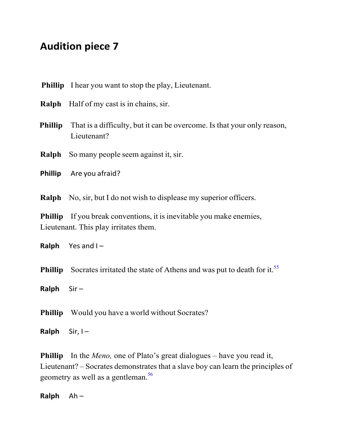|                | <b>Phillip</b> I hear you want to stop the play, Lieutenant.                                                  |
|----------------|---------------------------------------------------------------------------------------------------------------|
|                | <b>Ralph</b> Half of my cast is in chains, sir.                                                               |
| <b>Phillip</b> | That is a difficulty, but it can be overcome. Is that your only reason,<br>Lieutenant?                        |
| Ralph          | So many people seem against it, sir.                                                                          |
| <b>Phillip</b> | Are you afraid?                                                                                               |
|                | <b>Ralph</b> No, sir, but I do not wish to displease my superior officers.                                    |
|                | Phillip If you break conventions, it is inevitable you make enemies,<br>Lieutenant. This play irritates them. |
| Ralph          | Yes and $I -$                                                                                                 |
| <b>Phillip</b> | Socrates irritated the state of Athens and was put to death for it. <sup>55</sup>                             |
| Ralph          | $Sir -$                                                                                                       |
| <b>Phillip</b> | Would you have a world without Socrates?                                                                      |

**Ralph** Sir, I-

**Phillip** In the *Meno*, one of Plato's great dialogues – have you read it, Lieutenant? – Socrates demonstrates that a slave boy can learn the principles of geometry as well as a gentleman.<sup>56</sup>

**Ralph** Ah –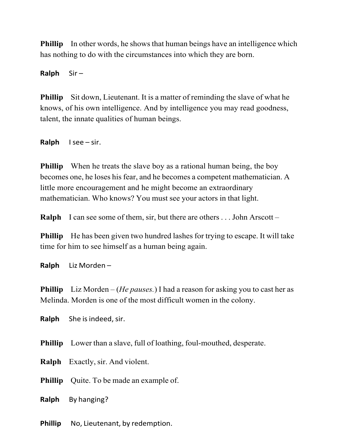**Phillip** In other words, he shows that human beings have an intelligence which has nothing to do with the circumstances into which they are born.

**Ralph** Sir –

**Phillip** Sit down, Lieutenant. It is a matter of reminding the slave of what he knows, of his own intelligence. And by intelligence you may read goodness, talent, the innate qualities of human beings.

**Ralph** I see – sir.

**Phillip** When he treats the slave boy as a rational human being, the boy becomes one, he loses his fear, and he becomes a competent mathematician. A little more encouragement and he might become an extraordinary mathematician. Who knows? You must see your actors in that light.

**Ralph** I can see some of them, sir, but there are others . . . John Arscott –

**Phillip** He has been given two hundred lashes for trying to escape. It will take time for him to see himself as a human being again.

**Ralph** Liz Morden –

**Phillip** Liz Morden – (*He pauses.*) I had a reason for asking you to cast her as Melinda. Morden is one of the most difficult women in the colony.

**Ralph** She is indeed, sir.

**Phillip** Lower than a slave, full of loathing, foul-mouthed, desperate.

**Ralph** Exactly, sir. And violent.

**Phillip** Quite. To be made an example of.

**Ralph** By hanging?

**Phillip** No, Lieutenant, by redemption.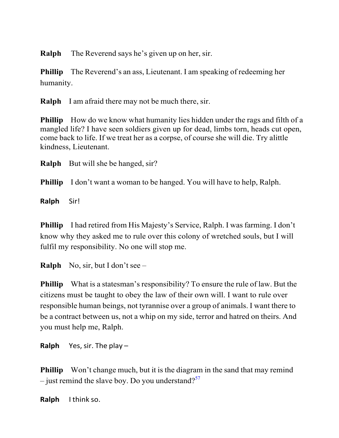**Ralph** The Reverend says he's given up on her, sir.

**Phillip** The Reverend's an ass, Lieutenant. I am speaking of redeeming her humanity.

**Ralph** I am afraid there may not be much there, sir.

**Phillip** How do we know what humanity lies hidden under the rags and filth of a mangled life? I have seen soldiers given up for dead, limbs torn, heads cut open, come back to life. If we treat her as a corpse, of course she will die. Try alittle kindness, Lieutenant.

**Ralph** But will she be hanged, sir?

**Phillip** I don't want a woman to be hanged. You will have to help, Ralph.

**Ralph** Sir!

**Phillip** I had retired from His Majesty's Service, Ralph. I was farming. I don't know why they asked me to rule over this colony of wretched souls, but I will fulfil my responsibility. No one will stop me.

**Ralph** No, sir, but I don't see –

**Phillip** What is a statesman's responsibility? To ensure the rule of law. But the citizens must be taught to obey the law of their own will. I want to rule over responsible human beings, not tyrannise over a group of animals. I want there to be a contract between us, not a whip on my side, terror and hatred on theirs. And you must help me, Ralph.

**Ralph** Yes, sir. The play  $-$ 

**Phillip** Won't change much, but it is the diagram in the sand that may remind – just remind the slave boy. Do you understand?<sup>57</sup>

**Ralph** I think so.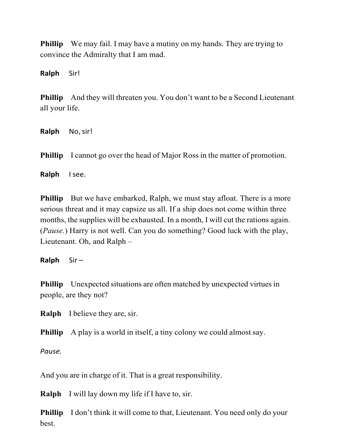**Phillip** We may fail. I may have a mutiny on my hands. They are trying to convince the Admiralty that I am mad.

**Ralph** Sir!

**Phillip** And they will threaten you. You don't want to be a Second Lieutenant all your life.

**Ralph** No,sir!

**Phillip** I cannot go over the head of Major Ross in the matter of promotion.

**Ralph** I see.

**Phillip** But we have embarked, Ralph, we must stay afloat. There is a more serious threat and it may capsize us all. If a ship does not come within three months, the supplies will be exhausted. In a month, I will cut the rations again. (*Pause.*) Harry is not well. Can you do something? Good luck with the play, Lieutenant. Oh, and Ralph –

**Ralph** Sir –

**Phillip** Unexpected situations are often matched by unexpected virtues in people, are they not?

**Ralph** I believe they are, sir.

**Phillip** A play is a world in itself, a tiny colony we could almost say.

*Pause.*

And you are in charge of it. That is a great responsibility.

**Ralph** I will lay down my life if I have to, sir.

**Phillip** I don't think it will come to that, Lieutenant. You need only do your best.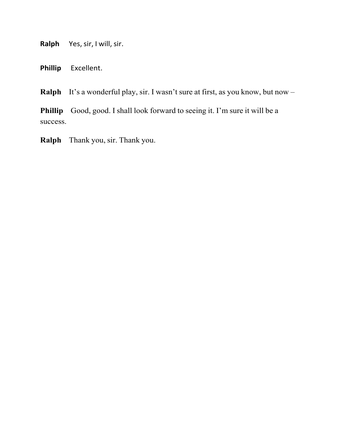**Ralph** Yes, sir, I will, sir.

**Phillip** Excellent.

**Ralph** It's a wonderful play, sir. I wasn't sure at first, as you know, but now –

Phillip Good, good. I shall look forward to seeing it. I'm sure it will be a success.

**Ralph** Thank you, sir. Thank you.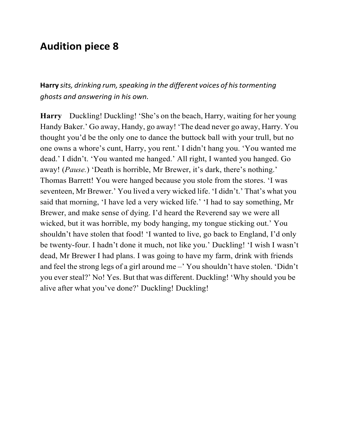**Harry** *sits, drinking rum,speaking in the different voices of histormenting ghosts and answering in his own.*

**Harry** Duckling! Duckling! 'She's on the beach, Harry, waiting for her young Handy Baker.' Go away, Handy, go away! 'The dead never go away, Harry. You thought you'd be the only one to dance the buttock ball with your trull, but no one owns a whore's cunt, Harry, you rent.' I didn't hang you. 'You wanted me dead.' I didn't. 'You wanted me hanged.' All right, I wanted you hanged. Go away! (*Pause.*) 'Death is horrible, Mr Brewer, it's dark, there's nothing.' Thomas Barrett! You were hanged because you stole from the stores. 'I was seventeen, Mr Brewer.' You lived a very wicked life. 'I didn't.' That's what you said that morning, 'I have led a very wicked life.' 'I had to say something, Mr Brewer, and make sense of dying. I'd heard the Reverend say we were all wicked, but it was horrible, my body hanging, my tongue sticking out.' You shouldn't have stolen that food! 'I wanted to live, go back to England, I'd only be twenty-four. I hadn't done it much, not like you.' Duckling! 'I wish I wasn't dead, Mr Brewer I had plans. I was going to have my farm, drink with friends and feel the strong legs of a girl around me –' You shouldn't have stolen. 'Didn't you ever steal?' No! Yes. But that was different. Duckling! 'Why should you be alive after what you've done?' Duckling! Duckling!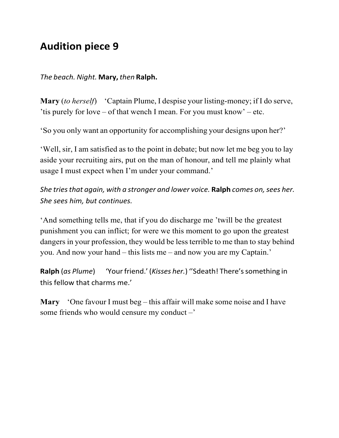*The beach. Night.* **Mary,** *then* **Ralph.**

**Mary** (*to herself*) 'Captain Plume, I despise your listing-money; if I do serve, 'tis purely for love – of that wench I mean. For you must know' – etc.

'So you only want an opportunity for accomplishing your designs upon her?'

'Well, sir, I am satisfied as to the point in debate; but now let me beg you to lay aside your recruiting airs, put on the man of honour, and tell me plainly what usage I must expect when I'm under your command.'

*She triesthat again, with a stronger and lower voice.* **Ralph** *comes on,sees her. She sees him, but continues.*

'And something tells me, that if you do discharge me 'twill be the greatest punishment you can inflict; for were we this moment to go upon the greatest dangers in your profession, they would be less terrible to me than to stay behind you. And now your hand – this lists me – and now you are my Captain.'

**Ralph** (*as Plume*) 'Yourfriend.' (*Kisses her.*) ''Sdeath! There'ssomething in this fellow that charms me.'

**Mary** 'One favour I must beg – this affair will make some noise and I have some friends who would censure my conduct –'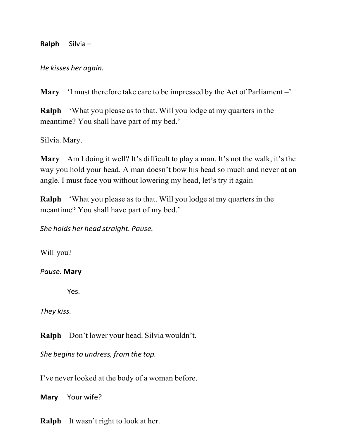**Ralph** Silvia –

*He kisses her again.*

**Mary** 'I must therefore take care to be impressed by the Act of Parliament –'

**Ralph** 'What you please as to that. Will you lodge at my quarters in the meantime? You shall have part of my bed.'

Silvia. Mary.

**Mary** Am I doing it well? It's difficult to play a man. It's not the walk, it's the way you hold your head. A man doesn't bow his head so much and never at an angle. I must face you without lowering my head, let's try it again

**Ralph** 'What you please as to that. Will you lodge at my quarters in the meantime? You shall have part of my bed.'

*She holds her head straight. Pause.*

Will you?

*Pause.* **Mary**

Yes.

*They kiss.*

**Ralph** Don't lower your head. Silvia wouldn't.

*She beginsto undress, from the top.*

I've never looked at the body of a woman before.

**Mary** Your wife?

**Ralph** It wasn't right to look at her.